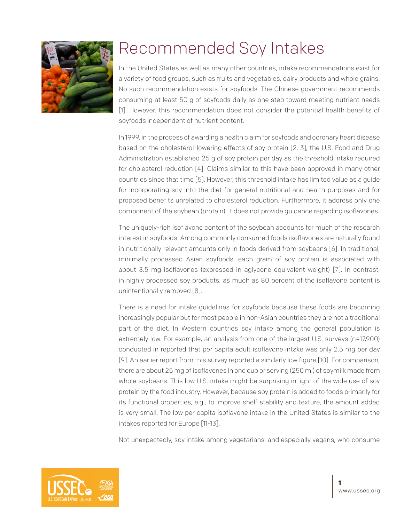

## Recommended Soy Intakes

In the United States as well as many other countries, intake recommendations exist for a variety of food groups, such as fruits and vegetables, dairy products and whole grains. No such recommendation exists for soyfoods. The Chinese government recommends consuming at least 50 g of soyfoods daily as one step toward meeting nutrient needs [1]. However, this recommendation does not consider the potential health benefits of soyfoods independent of nutrient content.

In 1999, in the process of awarding a health claim for soyfoods and coronary heart disease based on the cholesterol-lowering effects of soy protein [2, 3], the U.S. Food and Drug Administration established 25 g of soy protein per day as the threshold intake required for cholesterol reduction [4]. Claims similar to this have been approved in many other countries since that time [5]. However, this threshold intake has limited value as a guide for incorporating soy into the diet for general nutritional and health purposes and for proposed benefits unrelated to cholesterol reduction. Furthermore, it address only one component of the soybean (protein), it does not provide guidance regarding isoflavones.

The uniquely-rich isoflavone content of the soybean accounts for much of the research interest in soyfoods. Among commonly consumed foods isoflavones are naturally found in nutritionally relevant amounts only in foods derived from soybeans [6]. In traditional, minimally processed Asian soyfoods, each gram of soy protein is associated with about 3.5 mg isoflavones (expressed in aglycone equivalent weight) [7]. In contrast, in highly processed soy products, as much as 80 percent of the isoflavone content is unintentionally removed [8].

There is a need for intake guidelines for soyfoods because these foods are becoming increasingly popular but for most people in non-Asian countries they are not a traditional part of the diet. In Western countries soy intake among the general population is extremely low. For example, an analysis from one of the largest U.S. surveys (n=17,900) conducted in reported that per capita adult isoflavone intake was only 2.5 mg per day [9]. An earlier report from this survey reported a similarly low figure [10]. For comparison, there are about 25 mg of isoflavones in one cup or serving (250 ml) of soymilk made from whole soybeans. This low U.S. intake might be surprising in light of the wide use of soy protein by the food industry. However, because soy protein is added to foods primarily for its functional properties, e.g., to improve shelf stability and texture, the amount added is very small. The low per capita isoflavone intake in the United States is similar to the intakes reported for Europe [11-13].

Not unexpectedly, soy intake among vegetarians, and especially vegans, who consume

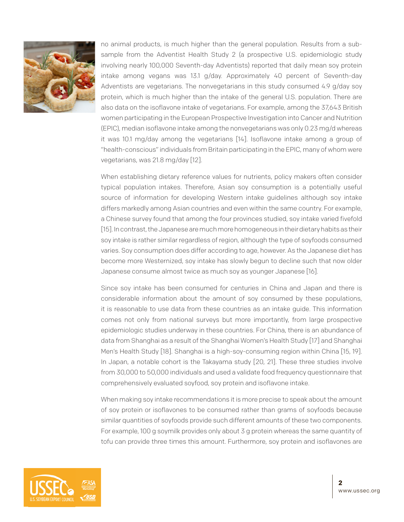

no animal products, is much higher than the general population. Results from a subsample from the Adventist Health Study 2 (a prospective U.S. epidemiologic study involving nearly 100,000 Seventh-day Adventists) reported that daily mean soy protein intake among vegans was 13.1 g/day. Approximately 40 percent of Seventh-day Adventists are vegetarians. The nonvegetarians in this study consumed 4.9 g/day soy protein, which is much higher than the intake of the general U.S. population. There are also data on the isoflavone intake of vegetarians. For example, among the 37,643 British women participating in the European Prospective Investigation into Cancer and Nutrition (EPIC), median isoflavone intake among the nonvegetarians was only 0.23 mg/d whereas it was 10.1 mg/day among the vegetarians [14]. Isoflavone intake among a group of "health-conscious" individuals from Britain participating in the EPIC, many of whom were vegetarians, was 21.8 mg/day [12].

When establishing dietary reference values for nutrients, policy makers often consider typical population intakes. Therefore, Asian soy consumption is a potentially useful source of information for developing Western intake guidelines although soy intake differs markedly among Asian countries and even within the same country. For example, a Chinese survey found that among the four provinces studied, soy intake varied fivefold [15]. In contrast, the Japanese are much more homogeneous in their dietary habits as their soy intake is rather similar regardless of region, although the type of soyfoods consumed varies. Soy consumption does differ according to age, however. As the Japanese diet has become more Westernized, soy intake has slowly begun to decline such that now older Japanese consume almost twice as much soy as younger Japanese [16].

Since soy intake has been consumed for centuries in China and Japan and there is considerable information about the amount of soy consumed by these populations, it is reasonable to use data from these countries as an intake guide. This information comes not only from national surveys but more importantly, from large prospective epidemiologic studies underway in these countries. For China, there is an abundance of data from Shanghai as a result of the Shanghai Women's Health Study [17] and Shanghai Men's Health Study [18]. Shanghai is a high-soy-consuming region within China [15, 19]. In Japan, a notable cohort is the Takayama study [20, 21]. These three studies involve from 30,000 to 50,000 individuals and used a validate food frequency questionnaire that comprehensively evaluated soyfood, soy protein and isoflavone intake.

When making soy intake recommendations it is more precise to speak about the amount of soy protein or isoflavones to be consumed rather than grams of soyfoods because similar quantities of soyfoods provide such different amounts of these two components. For example, 100 g soymilk provides only about 3 g protein whereas the same quantity of tofu can provide three times this amount. Furthermore, soy protein and isoflavones are

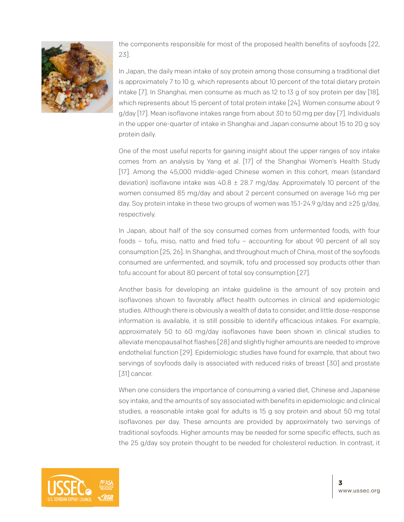

the components responsible for most of the proposed health benefits of soyfoods [22, 23].

In Japan, the daily mean intake of soy protein among those consuming a traditional diet is approximately 7 to 10 g, which represents about 10 percent of the total dietary protein intake [7]. In Shanghai, men consume as much as 12 to 13 g of soy protein per day [18], which represents about 15 percent of total protein intake [24]. Women consume about 9 g/day [17]. Mean isoflavone intakes range from about 30 to 50 mg per day [7]. Individuals in the upper one-quarter of intake in Shanghai and Japan consume about 15 to 20 g soy protein daily.

One of the most useful reports for gaining insight about the upper ranges of soy intake comes from an analysis by Yang et al. [17] of the Shanghai Women's Health Study [17]. Among the 45,000 middle-aged Chinese women in this cohort, mean (standard deviation) isoflavone intake was  $40.8 \pm 28.7$  mg/day. Approximately 10 percent of the women consumed 85 mg/day and about 2 percent consumed on average 146 mg per day. Soy protein intake in these two groups of women was 15.1-24.9 g/day and ≥25 g/day, respectively.

In Japan, about half of the soy consumed comes from unfermented foods, with four foods – tofu, miso, natto and fried tofu – accounting for about 90 percent of all soy consumption [25, 26]. In Shanghai, and throughout much of China, most of the soyfoods consumed are unfermented, and soymilk, tofu and processed soy products other than tofu account for about 80 percent of total soy consumption [27].

Another basis for developing an intake guideline is the amount of soy protein and isoflavones shown to favorably affect health outcomes in clinical and epidemiologic studies. Although there is obviously a wealth of data to consider, and little dose-response information is available, it is still possible to identify efficacious intakes. For example, approximately 50 to 60 mg/day isoflavones have been shown in clinical studies to alleviate menopausal hot flashes [28] and slightly higher amounts are needed to improve endothelial function [29]. Epidemiologic studies have found for example, that about two servings of soyfoods daily is associated with reduced risks of breast [30] and prostate [31] cancer.

When one considers the importance of consuming a varied diet, Chinese and Japanese soy intake, and the amounts of soy associated with benefits in epidemiologic and clinical studies, a reasonable intake goal for adults is 15 g soy protein and about 50 mg total isoflavones per day. These amounts are provided by approximately two servings of traditional soyfoods. Higher amounts may be needed for some specific effects, such as the 25 g/day soy protein thought to be needed for cholesterol reduction. In contrast, it

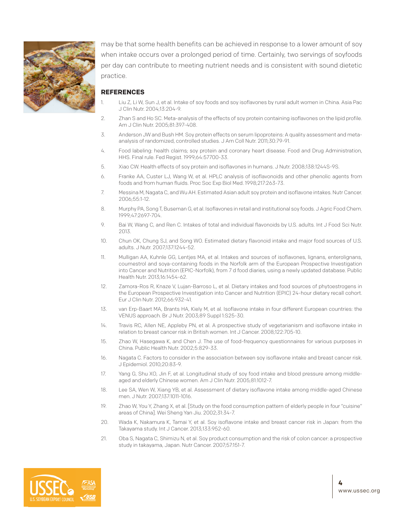

may be that some health benefits can be achieved in response to a lower amount of soy when intake occurs over a prolonged period of time. Certainly, two servings of soyfoods per day can contribute to meeting nutrient needs and is consistent with sound dietetic practice.

## **REFERENCES**

- Liu Z, Li W, Sun J, et al. Intake of soy foods and soy isoflavones by rural adult women in China. Asia Pac J Clin Nutr. 2004;13:204-9.
- 2. Zhan S and Ho SC. Meta-analysis of the effects of soy protein containing isoflavones on the lipid profile. Am J Clin Nutr. 2005;81:397-408.
- 3. Anderson JW and Bush HM. Soy protein effects on serum lipoproteins: A quality assessment and metaanalysis of randomized, controlled studies. J Am Coll Nutr. 2011;30:79-91.
- 4. Food labeling: health claims; soy protein and coronary heart disease. Food and Drug Administration, HHS. Final rule. Fed Regist. 1999;64:57700-33.
- 5. Xiao CW. Health effects of soy protein and isoflavones in humans. J Nutr. 2008;138:1244S-9S.
- 6. Franke AA, Custer LJ, Wang W, et al. HPLC analysis of isoflavonoids and other phenolic agents from foods and from human fluids. Proc Soc Exp Biol Med. 1998;217:263-73.
- 7. Messina M, Nagata C, and Wu AH. Estimated Asian adult soy protein and isoflavone intakes. Nutr Cancer. 2006;55:1-12.
- 8. Murphy PA, Song T, Buseman G, et al. Isoflavones in retail and institutional soy foods. J Agric Food Chem. 1999;47:2697-704.
- 9. Bai W, Wang C, and Ren C. Intakes of total and individual flavonoids by U.S. adults. Int J Food Sci Nutr. 2013.
- 10. Chun OK, Chung SJ, and Song WO. Estimated dietary flavonoid intake and major food sources of U.S. adults. J Nutr. 2007;137:1244-52.
- 11. Mulligan AA, Kuhnle GG, Lentjes MA, et al. Intakes and sources of isoflavones, lignans, enterolignans, coumestrol and soya-containing foods in the Norfolk arm of the European Prospective Investigation into Cancer and Nutrition (EPIC-Norfolk), from 7 d food diaries, using a newly updated database. Public Health Nutr. 2013;16:1454-62.
- 12. Zamora-Ros R, Knaze V, Lujan-Barroso L, et al. Dietary intakes and food sources of phytoestrogens in the European Prospective Investigation into Cancer and Nutrition (EPIC) 24-hour dietary recall cohort. Eur J Clin Nutr. 2012;66:932-41.
- 13. van Erp-Baart MA, Brants HA, Kiely M, et al. Isoflavone intake in four different European countries: the VENUS approach. Br J Nutr. 2003;89 Suppl 1:S25-30.
- 14. Travis RC, Allen NE, Appleby PN, et al. A prospective study of vegetarianism and isoflavone intake in relation to breast cancer risk in British women. Int J Cancer. 2008;122:705-10.
- 15. Zhao W, Hasegawa K, and Chen J. The use of food-frequency questionnaires for various purposes in China. Public Health Nutr. 2002;5:829-33.
- 16. Nagata C. Factors to consider in the association between soy isoflavone intake and breast cancer risk. J Epidemiol. 2010;20:83-9.
- 17. Yang G, Shu XO, Jin F, et al. Longitudinal study of soy food intake and blood pressure among middleaged and elderly Chinese women. Am J Clin Nutr. 2005;81:1012-7.
- 18. Lee SA, Wen W, Xiang YB, et al. Assessment of dietary isoflavone intake among middle-aged Chinese men. J Nutr. 2007;137:1011-1016.
- 19. Zhao W, You Y, Zhang X, et al. [Study on the food consumption pattern of elderly people in four "cuisine" areas of China]. Wei Sheng Yan Jiu. 2002;31:34-7.
- 20. Wada K, Nakamura K, Tamai Y, et al. Soy isoflavone intake and breast cancer risk in Japan: from the Takayama study. Int J Cancer. 2013;133:952-60.
- 21. Oba S, Nagata C, Shimizu N, et al. Soy product consumption and the risk of colon cancer: a prospective study in takayama, Japan. Nutr Cancer. 2007;57:151-7.